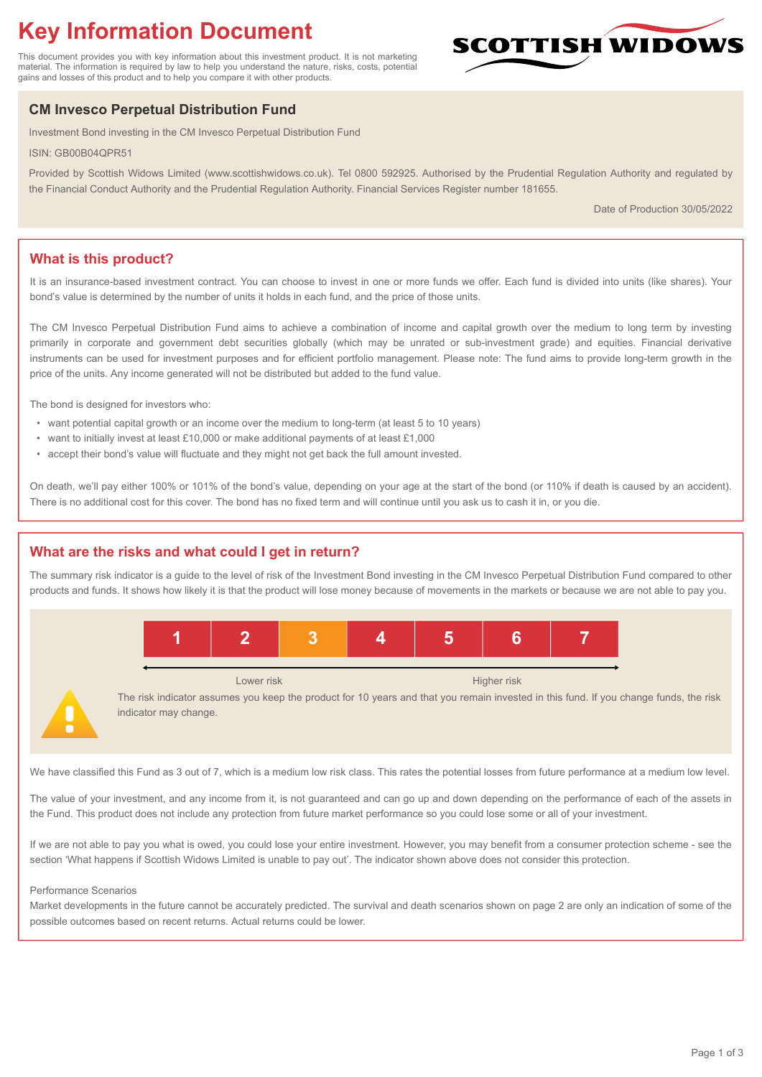# **Key Information Document**

This document provides you with key information about this investment product. It is not marketing material. The information is required by law to help you understand the nature, risks, costs, potential gains and losses of this product and to help you compare it with other products.

# **CM Invesco Perpetual Distribution Fund**

Investment Bond investing in the CM Invesco Perpetual Distribution Fund

ISIN: GB00B04QPR51

Provided by Scottish Widows Limited (www.scottishwidows.co.uk). Tel 0800 592925. Authorised by the Prudential Regulation Authority and regulated by the Financial Conduct Authority and the Prudential Regulation Authority. Financial Services Register number 181655.

Date of Production 30/05/2022

**SCOTTISH WIDOW** 

# **What is this product?**

It is an insurance-based investment contract. You can choose to invest in one or more funds we offer. Each fund is divided into units (like shares). Your bond's value is determined by the number of units it holds in each fund, and the price of those units.

The CM Invesco Perpetual Distribution Fund aims to achieve a combination of income and capital growth over the medium to long term by investing primarily in corporate and government debt securities globally (which may be unrated or sub-investment grade) and equities. Financial derivative instruments can be used for investment purposes and for efficient portfolio management. Please note: The fund aims to provide long-term growth in the price of the units. Any income generated will not be distributed but added to the fund value.

The bond is designed for investors who:

- want potential capital growth or an income over the medium to long-term (at least 5 to 10 years)
- want to initially invest at least £10,000 or make additional payments of at least £1,000
- accept their bond's value will fluctuate and they might not get back the full amount invested.

On death, we'll pay either 100% or 101% of the bond's value, depending on your age at the start of the bond (or 110% if death is caused by an accident). There is no additional cost for this cover. The bond has no fixed term and will continue until you ask us to cash it in, or you die.

# **What are the risks and what could I get in return?**

The summary risk indicator is a guide to the level of risk of the Investment Bond investing in the CM Invesco Perpetual Distribution Fund compared to other products and funds. It shows how likely it is that the product will lose money because of movements in the markets or because we are not able to pay you.



Lower risk **Higher risk** Higher risk **Higher risk** 

The risk indicator assumes you keep the product for 10 years and that you remain invested in this fund. If you change funds, the risk indicator may change.

We have classified this Fund as 3 out of 7, which is a medium low risk class. This rates the potential losses from future performance at a medium low level.

The value of your investment, and any income from it, is not guaranteed and can go up and down depending on the performance of each of the assets in the Fund. This product does not include any protection from future market performance so you could lose some or all of your investment.

If we are not able to pay you what is owed, you could lose your entire investment. However, you may benefit from a consumer protection scheme - see the section 'What happens if Scottish Widows Limited is unable to pay out'. The indicator shown above does not consider this protection.

#### Performance Scenarios

Market developments in the future cannot be accurately predicted. The survival and death scenarios shown on page 2 are only an indication of some of the possible outcomes based on recent returns. Actual returns could be lower.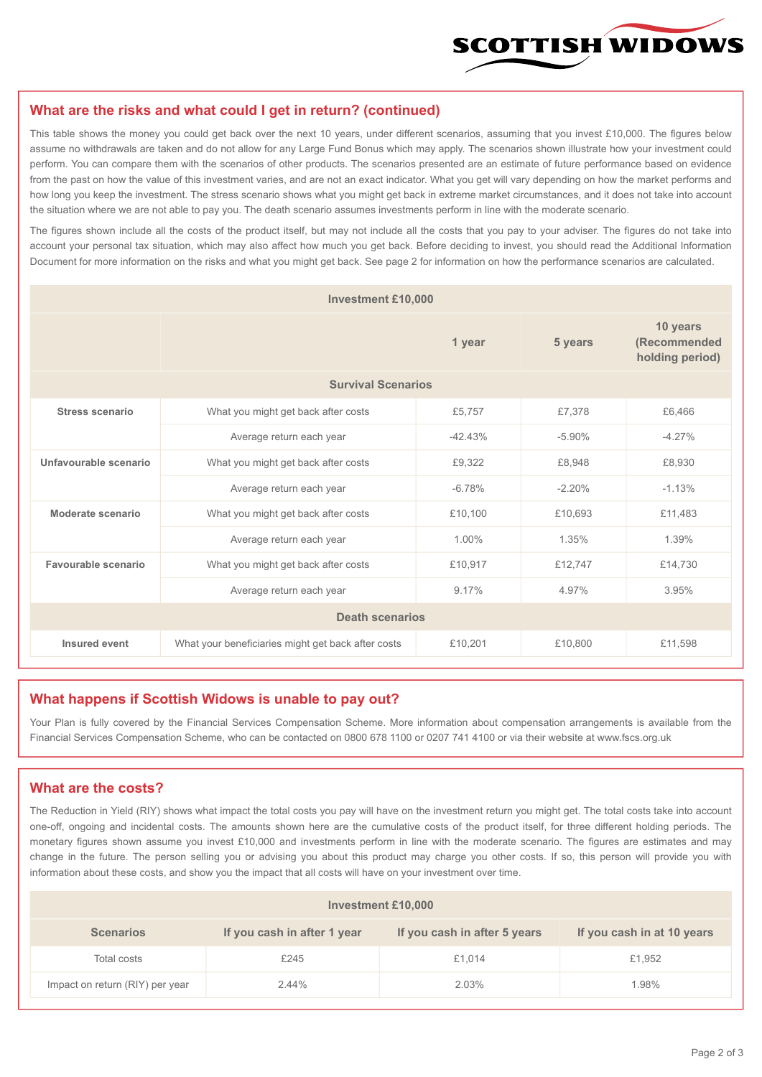

#### **What are the risks and what could I get in return? (continued)**

This table shows the money you could get back over the next 10 years, under different scenarios, assuming that you invest £10,000. The figures below assume no withdrawals are taken and do not allow for any Large Fund Bonus which may apply. The scenarios shown illustrate how your investment could perform. You can compare them with the scenarios of other products. The scenarios presented are an estimate of future performance based on evidence from the past on how the value of this investment varies, and are not an exact indicator. What you get will vary depending on how the market performs and how long you keep the investment. The stress scenario shows what you might get back in extreme market circumstances, and it does not take into account the situation where we are not able to pay you. The death scenario assumes investments perform in line with the moderate scenario.

The figures shown include all the costs of the product itself, but may not include all the costs that you pay to your adviser. The figures do not take into account your personal tax situation, which may also affect how much you get back. Before deciding to invest, you should read the Additional Information Document for more information on the risks and what you might get back. See page 2 for information on how the performance scenarios are calculated.

| <b>Investment £10,000</b> |                                                    |           |          |                                             |  |  |
|---------------------------|----------------------------------------------------|-----------|----------|---------------------------------------------|--|--|
|                           | 1 year                                             |           | 5 years  | 10 years<br>(Recommended<br>holding period) |  |  |
| <b>Survival Scenarios</b> |                                                    |           |          |                                             |  |  |
| <b>Stress scenario</b>    | What you might get back after costs                | £5,757    | £7,378   | £6,466                                      |  |  |
|                           | Average return each year                           | $-42.43%$ | $-5.90%$ | $-4.27%$                                    |  |  |
| Unfavourable scenario     | What you might get back after costs<br>£9,322      |           | £8,948   | £8,930                                      |  |  |
|                           | Average return each year                           | $-6.78%$  | $-2.20%$ | $-1.13%$                                    |  |  |
| Moderate scenario         | What you might get back after costs                | £10,100   | £10,693  | £11.483                                     |  |  |
|                           | Average return each year                           | 1.00%     | 1.35%    | 1.39%                                       |  |  |
| Favourable scenario       | What you might get back after costs                | £10,917   | £12,747  | £14,730                                     |  |  |
|                           | Average return each year                           | 9.17%     | 4.97%    | 3.95%                                       |  |  |
| <b>Death scenarios</b>    |                                                    |           |          |                                             |  |  |
| Insured event             | What your beneficiaries might get back after costs | £10,201   | £10,800  | £11,598                                     |  |  |

#### **What happens if Scottish Widows is unable to pay out?**

Your Plan is fully covered by the Financial Services Compensation Scheme. More information about compensation arrangements is available from the Financial Services Compensation Scheme, who can be contacted on 0800 678 1100 or 0207 741 4100 or via their website at www.fscs.org.uk

# **What are the costs?**

The Reduction in Yield (RIY) shows what impact the total costs you pay will have on the investment return you might get. The total costs take into account one-off, ongoing and incidental costs. The amounts shown here are the cumulative costs of the product itself, for three different holding periods. The monetary figures shown assume you invest £10,000 and investments perform in line with the moderate scenario. The figures are estimates and may change in the future. The person selling you or advising you about this product may charge you other costs. If so, this person will provide you with information about these costs, and show you the impact that all costs will have on your investment over time.

| <b>Investment £10,000</b>       |                             |                              |                            |  |  |  |
|---------------------------------|-----------------------------|------------------------------|----------------------------|--|--|--|
| <b>Scenarios</b>                | If you cash in after 1 year | If you cash in after 5 years | If you cash in at 10 years |  |  |  |
| Total costs                     | £245                        | £1,014                       | £1,952                     |  |  |  |
| Impact on return (RIY) per year | 2.44%                       | 2.03%                        | 1.98%                      |  |  |  |